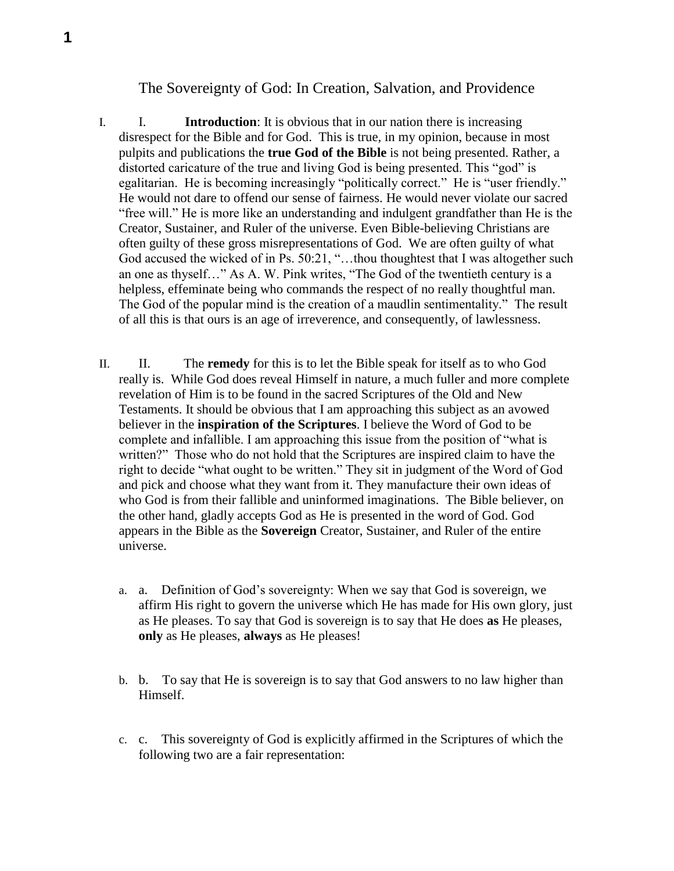## The Sovereignty of God: In Creation, Salvation, and Providence

- I. I. **Introduction**: It is obvious that in our nation there is increasing disrespect for the Bible and for God. This is true, in my opinion, because in most pulpits and publications the **true God of the Bible** is not being presented. Rather, a distorted caricature of the true and living God is being presented. This "god" is egalitarian. He is becoming increasingly "politically correct." He is "user friendly." He would not dare to offend our sense of fairness. He would never violate our sacred "free will." He is more like an understanding and indulgent grandfather than He is the Creator, Sustainer, and Ruler of the universe. Even Bible-believing Christians are often guilty of these gross misrepresentations of God. We are often guilty of what God accused the wicked of in Ps. 50:21, "…thou thoughtest that I was altogether such an one as thyself…" As A. W. Pink writes, "The God of the twentieth century is a helpless, effeminate being who commands the respect of no really thoughtful man. The God of the popular mind is the creation of a maudlin sentimentality." The result of all this is that ours is an age of irreverence, and consequently, of lawlessness.
- II. II. The **remedy** for this is to let the Bible speak for itself as to who God really is. While God does reveal Himself in nature, a much fuller and more complete revelation of Him is to be found in the sacred Scriptures of the Old and New Testaments. It should be obvious that I am approaching this subject as an avowed believer in the **inspiration of the Scriptures**. I believe the Word of God to be complete and infallible. I am approaching this issue from the position of "what is written?" Those who do not hold that the Scriptures are inspired claim to have the right to decide "what ought to be written." They sit in judgment of the Word of God and pick and choose what they want from it. They manufacture their own ideas of who God is from their fallible and uninformed imaginations. The Bible believer, on the other hand, gladly accepts God as He is presented in the word of God. God appears in the Bible as the **Sovereign** Creator, Sustainer, and Ruler of the entire universe.
	- a. a. Definition of God's sovereignty: When we say that God is sovereign, we affirm His right to govern the universe which He has made for His own glory, just as He pleases. To say that God is sovereign is to say that He does **as** He pleases, **only** as He pleases, **always** as He pleases!
	- b. b. To say that He is sovereign is to say that God answers to no law higher than Himself.
	- c. c. This sovereignty of God is explicitly affirmed in the Scriptures of which the following two are a fair representation: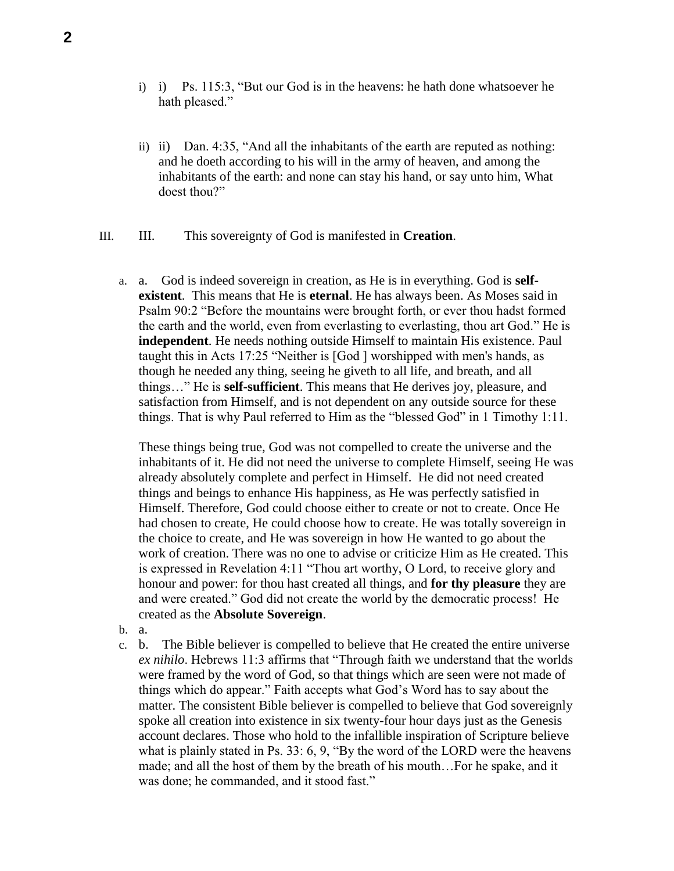- i) i) Ps. 115:3, "But our God is in the heavens: he hath done whatsoever he hath pleased."
- ii) ii) Dan. 4:35, "And all the inhabitants of the earth are reputed as nothing: and he doeth according to his will in the army of heaven, and among the inhabitants of the earth: and none can stay his hand, or say unto him, What doest thou?"
- III. III. This sovereignty of God is manifested in **Creation**.
	- a. a. God is indeed sovereign in creation, as He is in everything. God is **selfexistent**. This means that He is **eternal**. He has always been. As Moses said in Psalm 90:2 "Before the mountains were brought forth, or ever thou hadst formed the earth and the world, even from everlasting to everlasting, thou art God." He is **independent**. He needs nothing outside Himself to maintain His existence. Paul taught this in Acts 17:25 "Neither is [God ] worshipped with men's hands, as though he needed any thing, seeing he giveth to all life, and breath, and all things…" He is **self-sufficient**. This means that He derives joy, pleasure, and satisfaction from Himself, and is not dependent on any outside source for these things. That is why Paul referred to Him as the "blessed God" in 1 Timothy 1:11.

These things being true, God was not compelled to create the universe and the inhabitants of it. He did not need the universe to complete Himself, seeing He was already absolutely complete and perfect in Himself. He did not need created things and beings to enhance His happiness, as He was perfectly satisfied in Himself. Therefore, God could choose either to create or not to create. Once He had chosen to create, He could choose how to create. He was totally sovereign in the choice to create, and He was sovereign in how He wanted to go about the work of creation. There was no one to advise or criticize Him as He created. This is expressed in Revelation 4:11 "Thou art worthy, O Lord, to receive glory and honour and power: for thou hast created all things, and **for thy pleasure** they are and were created." God did not create the world by the democratic process! He created as the **Absolute Sovereign**.

- b. a.
- c. b. The Bible believer is compelled to believe that He created the entire universe *ex nihilo*. Hebrews 11:3 affirms that "Through faith we understand that the worlds were framed by the word of God, so that things which are seen were not made of things which do appear." Faith accepts what God's Word has to say about the matter. The consistent Bible believer is compelled to believe that God sovereignly spoke all creation into existence in six twenty-four hour days just as the Genesis account declares. Those who hold to the infallible inspiration of Scripture believe what is plainly stated in Ps. 33: 6, 9, "By the word of the LORD were the heavens" made; and all the host of them by the breath of his mouth…For he spake, and it was done; he commanded, and it stood fast."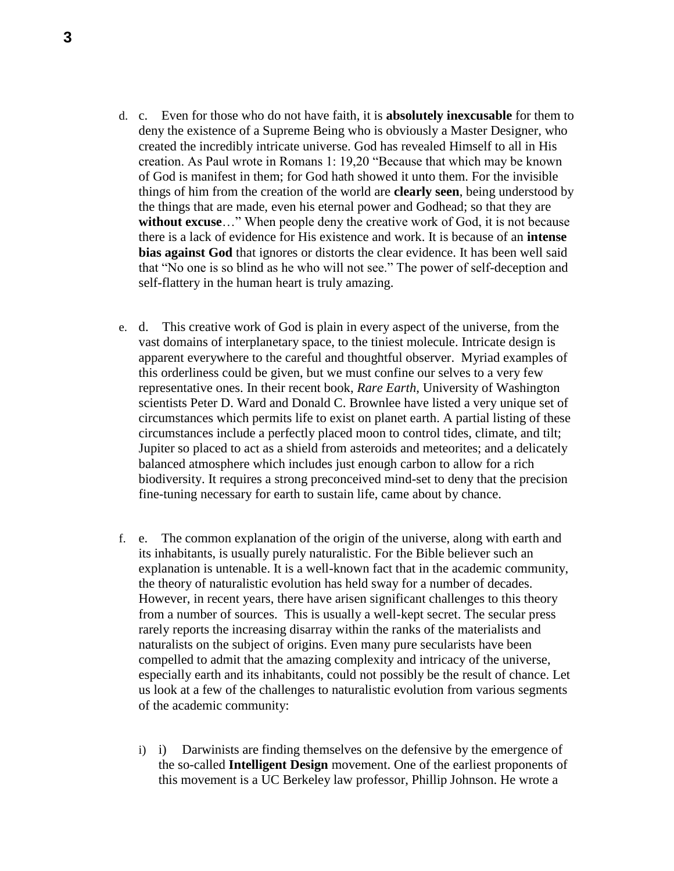- d. c. Even for those who do not have faith, it is **absolutely inexcusable** for them to deny the existence of a Supreme Being who is obviously a Master Designer, who created the incredibly intricate universe. God has revealed Himself to all in His creation. As Paul wrote in Romans 1: 19,20 "Because that which may be known of God is manifest in them; for God hath showed it unto them. For the invisible things of him from the creation of the world are **clearly seen**, being understood by the things that are made, even his eternal power and Godhead; so that they are **without excuse**…" When people deny the creative work of God, it is not because there is a lack of evidence for His existence and work. It is because of an **intense bias against God** that ignores or distorts the clear evidence. It has been well said that "No one is so blind as he who will not see." The power of self-deception and self-flattery in the human heart is truly amazing.
- e. d. This creative work of God is plain in every aspect of the universe, from the vast domains of interplanetary space, to the tiniest molecule. Intricate design is apparent everywhere to the careful and thoughtful observer. Myriad examples of this orderliness could be given, but we must confine our selves to a very few representative ones. In their recent book, *Rare Earth*, University of Washington scientists Peter D. Ward and Donald C. Brownlee have listed a very unique set of circumstances which permits life to exist on planet earth. A partial listing of these circumstances include a perfectly placed moon to control tides, climate, and tilt; Jupiter so placed to act as a shield from asteroids and meteorites; and a delicately balanced atmosphere which includes just enough carbon to allow for a rich biodiversity. It requires a strong preconceived mind-set to deny that the precision fine-tuning necessary for earth to sustain life, came about by chance.
- f. e. The common explanation of the origin of the universe, along with earth and its inhabitants, is usually purely naturalistic. For the Bible believer such an explanation is untenable. It is a well-known fact that in the academic community, the theory of naturalistic evolution has held sway for a number of decades. However, in recent years, there have arisen significant challenges to this theory from a number of sources. This is usually a well-kept secret. The secular press rarely reports the increasing disarray within the ranks of the materialists and naturalists on the subject of origins. Even many pure secularists have been compelled to admit that the amazing complexity and intricacy of the universe, especially earth and its inhabitants, could not possibly be the result of chance. Let us look at a few of the challenges to naturalistic evolution from various segments of the academic community:
	- i) i) Darwinists are finding themselves on the defensive by the emergence of the so-called **Intelligent Design** movement. One of the earliest proponents of this movement is a UC Berkeley law professor, Phillip Johnson. He wrote a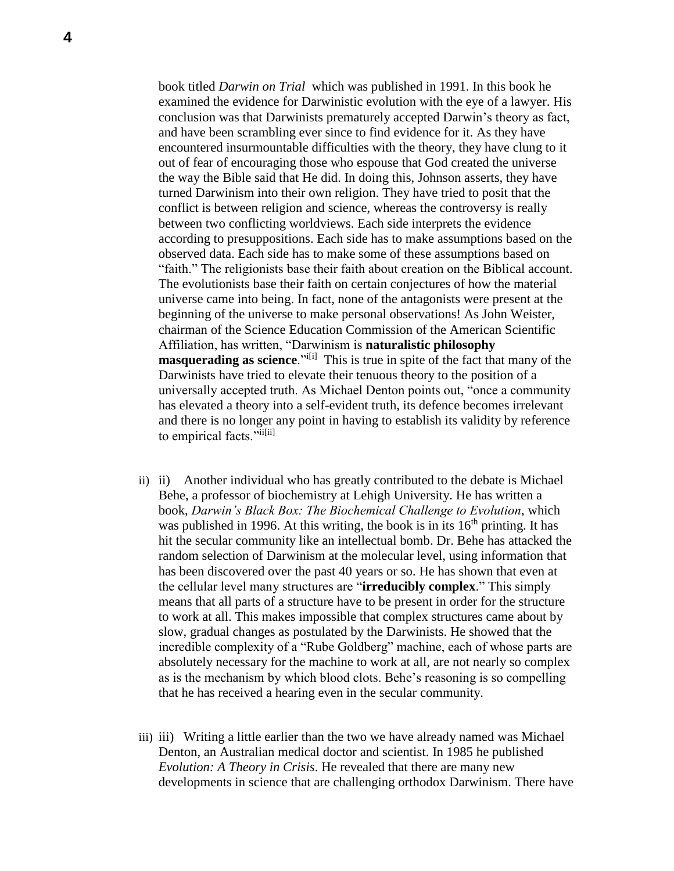book titled *Darwin on Trial* which was published in 1991. In this book he examined the evidence for Darwinistic evolution with the eye of a lawyer. His conclusion was that Darwinists prematurely accepted Darwin's theory as fact, and have been scrambling ever since to find evidence for it. As they have encountered insurmountable difficulties with the theory, they have clung to it out of fear of encouraging those who espouse that God created the universe the way the Bible said that He did. In doing this, Johnson asserts, they have turned Darwinism into their own religion. They have tried to posit that the conflict is between religion and science, whereas the controversy is really between two conflicting worldviews. Each side interprets the evidence according to presuppositions. Each side has to make assumptions based on the observed data. Each side has to make some of these assumptions based on "faith." The religionists base their faith about creation on the Biblical account. The evolutionists base their faith on certain conjectures of how the material universe came into being. In fact, none of the antagonists were present at the beginning of the universe to make personal observations! As John Weister, chairman of the Science Education Commission of the American Scientific Affiliation, has written, "Darwinism is **naturalistic philosophy masquerading as science**."<sup>i[i]</sup> This is true in spite of the fact that many of the Darwinists have tried to elevate their tenuous theory to the position of a universally accepted truth. As Michael Denton points out, "once a community has elevated a theory into a self-evident truth, its defence becomes irrelevant and there is no longer any point in having to establish its validity by reference to empirical facts."ii[ii]

- ii) ii) Another individual who has greatly contributed to the debate is Michael Behe, a professor of biochemistry at Lehigh University. He has written a book, *Darwin's Black Box: The Biochemical Challenge to Evolution*, which was published in 1996. At this writing, the book is in its  $16<sup>th</sup>$  printing. It has hit the secular community like an intellectual bomb. Dr. Behe has attacked the random selection of Darwinism at the molecular level, using information that has been discovered over the past 40 years or so. He has shown that even at the cellular level many structures are "**irreducibly complex**." This simply means that all parts of a structure have to be present in order for the structure to work at all. This makes impossible that complex structures came about by slow, gradual changes as postulated by the Darwinists. He showed that the incredible complexity of a "Rube Goldberg" machine, each of whose parts are absolutely necessary for the machine to work at all, are not nearly so complex as is the mechanism by which blood clots. Behe's reasoning is so compelling that he has received a hearing even in the secular community.
- iii) iii) Writing a little earlier than the two we have already named was Michael Denton, an Australian medical doctor and scientist. In 1985 he published *Evolution: A Theory in Crisis*. He revealed that there are many new developments in science that are challenging orthodox Darwinism. There have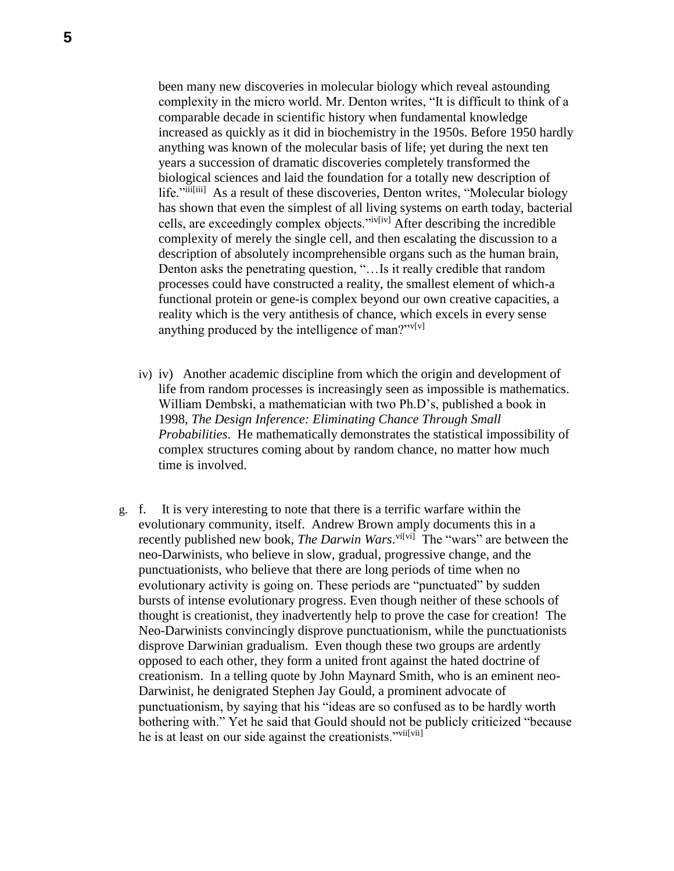been many new discoveries in molecular biology which reveal astounding complexity in the micro world. Mr. Denton writes, "It is difficult to think of a comparable decade in scientific history when fundamental knowledge increased as quickly as it did in biochemistry in the 1950s. Before 1950 hardly anything was known of the molecular basis of life; yet during the next ten years a succession of dramatic discoveries completely transformed the biological sciences and laid the foundation for a totally new description of life."iii<sup>[iii]</sup> As a result of these discoveries, Denton writes, "Molecular biology has shown that even the simplest of all living systems on earth today, bacterial cells, are exceedingly complex objects."iv[iv] After describing the incredible complexity of merely the single cell, and then escalating the discussion to a description of absolutely incomprehensible organs such as the human brain, Denton asks the penetrating question, "…Is it really credible that random processes could have constructed a reality, the smallest element of which-a functional protein or gene-is complex beyond our own creative capacities, a reality which is the very antithesis of chance, which excels in every sense anything produced by the intelligence of man?" $v[v]$ 

- iv) iv) Another academic discipline from which the origin and development of life from random processes is increasingly seen as impossible is mathematics. William Dembski, a mathematician with two Ph.D's, published a book in 1998, *The Design Inference: Eliminating Chance Through Small Probabilities*. He mathematically demonstrates the statistical impossibility of complex structures coming about by random chance, no matter how much time is involved.
- g. f. It is very interesting to note that there is a terrific warfare within the evolutionary community, itself. Andrew Brown amply documents this in a recently published new book, *The Darwin Wars*.<sup>vi[vi]</sup> The "wars" are between the neo-Darwinists, who believe in slow, gradual, progressive change, and the punctuationists, who believe that there are long periods of time when no evolutionary activity is going on. These periods are "punctuated" by sudden bursts of intense evolutionary progress. Even though neither of these schools of thought is creationist, they inadvertently help to prove the case for creation! The Neo-Darwinists convincingly disprove punctuationism, while the punctuationists disprove Darwinian gradualism. Even though these two groups are ardently opposed to each other, they form a united front against the hated doctrine of creationism. In a telling quote by John Maynard Smith, who is an eminent neo-Darwinist, he denigrated Stephen Jay Gould, a prominent advocate of punctuationism, by saying that his "ideas are so confused as to be hardly worth bothering with." Yet he said that Gould should not be publicly criticized "because he is at least on our side against the creationists."vii[vii]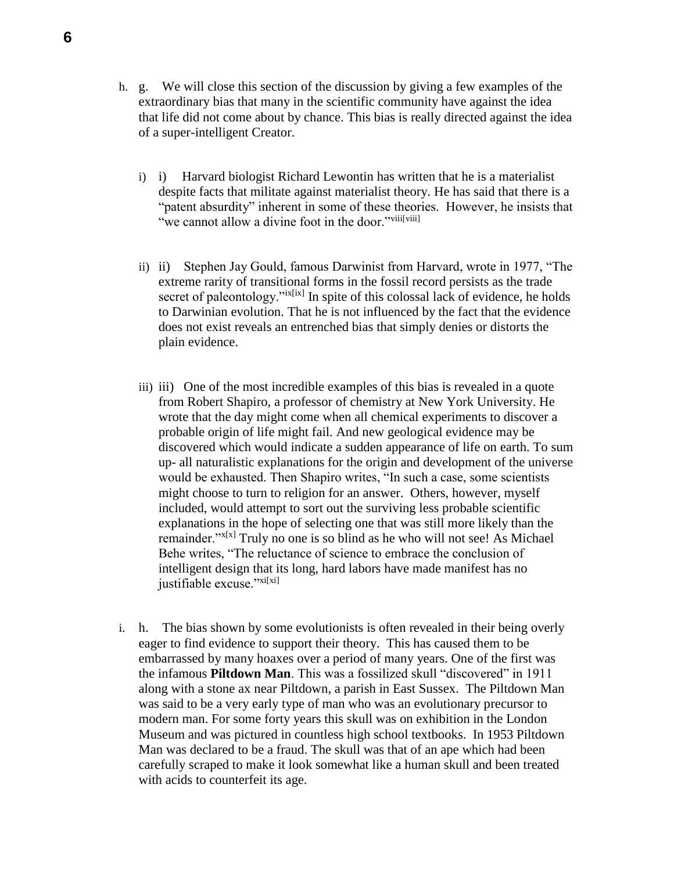- h. g. We will close this section of the discussion by giving a few examples of the extraordinary bias that many in the scientific community have against the idea that life did not come about by chance. This bias is really directed against the idea of a super-intelligent Creator.
	- i) i) Harvard biologist Richard Lewontin has written that he is a materialist despite facts that militate against materialist theory. He has said that there is a "patent absurdity" inherent in some of these theories. However, he insists that "we cannot allow a divine foot in the door."viii[viii]
	- ii) ii) Stephen Jay Gould, famous Darwinist from Harvard, wrote in 1977, "The extreme rarity of transitional forms in the fossil record persists as the trade secret of paleontology."*ix[ix]* In spite of this colossal lack of evidence, he holds to Darwinian evolution. That he is not influenced by the fact that the evidence does not exist reveals an entrenched bias that simply denies or distorts the plain evidence.
	- iii) iii) One of the most incredible examples of this bias is revealed in a quote from Robert Shapiro, a professor of chemistry at New York University. He wrote that the day might come when all chemical experiments to discover a probable origin of life might fail. And new geological evidence may be discovered which would indicate a sudden appearance of life on earth. To sum up- all naturalistic explanations for the origin and development of the universe would be exhausted. Then Shapiro writes, "In such a case, some scientists might choose to turn to religion for an answer. Others, however, myself included, would attempt to sort out the surviving less probable scientific explanations in the hope of selecting one that was still more likely than the remainder." $x[x]$  Truly no one is so blind as he who will not see! As Michael Behe writes, "The reluctance of science to embrace the conclusion of intelligent design that its long, hard labors have made manifest has no justifiable excuse."<sup>xi[xi]</sup>
- i. h. The bias shown by some evolutionists is often revealed in their being overly eager to find evidence to support their theory. This has caused them to be embarrassed by many hoaxes over a period of many years. One of the first was the infamous **Piltdown Man**. This was a fossilized skull "discovered" in 1911 along with a stone ax near Piltdown, a parish in East Sussex. The Piltdown Man was said to be a very early type of man who was an evolutionary precursor to modern man. For some forty years this skull was on exhibition in the London Museum and was pictured in countless high school textbooks. In 1953 Piltdown Man was declared to be a fraud. The skull was that of an ape which had been carefully scraped to make it look somewhat like a human skull and been treated with acids to counterfeit its age.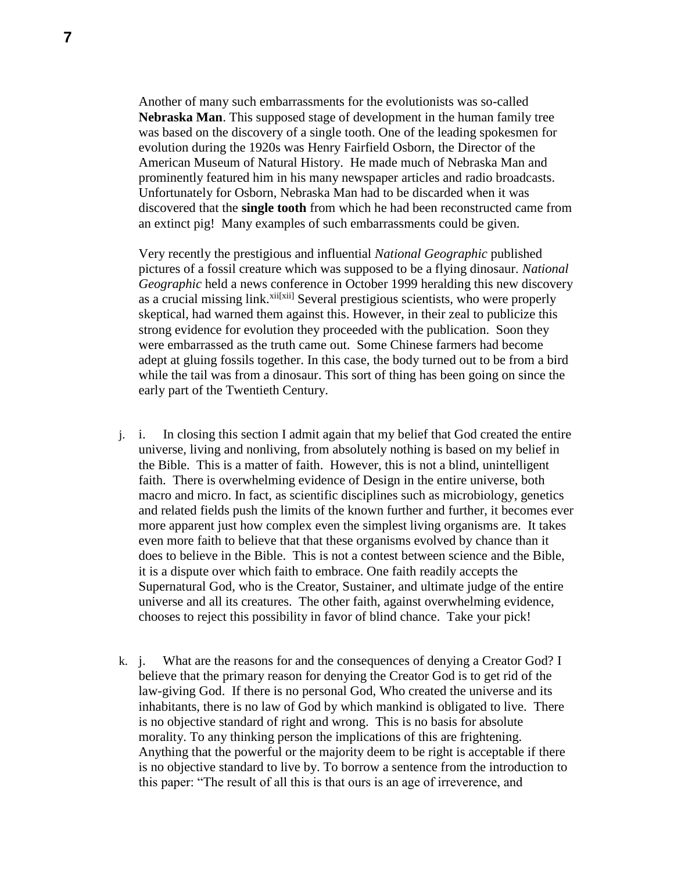Another of many such embarrassments for the evolutionists was so-called **Nebraska Man**. This supposed stage of development in the human family tree was based on the discovery of a single tooth. One of the leading spokesmen for evolution during the 1920s was Henry Fairfield Osborn, the Director of the American Museum of Natural History. He made much of Nebraska Man and prominently featured him in his many newspaper articles and radio broadcasts. Unfortunately for Osborn, Nebraska Man had to be discarded when it was discovered that the **single tooth** from which he had been reconstructed came from an extinct pig! Many examples of such embarrassments could be given.

Very recently the prestigious and influential *National Geographic* published pictures of a fossil creature which was supposed to be a flying dinosaur. *National Geographic* held a news conference in October 1999 heralding this new discovery as a crucial missing link.<sup>xii[xii]</sup> Several prestigious scientists, who were properly skeptical, had warned them against this. However, in their zeal to publicize this strong evidence for evolution they proceeded with the publication. Soon they were embarrassed as the truth came out. Some Chinese farmers had become adept at gluing fossils together. In this case, the body turned out to be from a bird while the tail was from a dinosaur. This sort of thing has been going on since the early part of the Twentieth Century.

- j. i. In closing this section I admit again that my belief that God created the entire universe, living and nonliving, from absolutely nothing is based on my belief in the Bible. This is a matter of faith. However, this is not a blind, unintelligent faith. There is overwhelming evidence of Design in the entire universe, both macro and micro. In fact, as scientific disciplines such as microbiology, genetics and related fields push the limits of the known further and further, it becomes ever more apparent just how complex even the simplest living organisms are. It takes even more faith to believe that that these organisms evolved by chance than it does to believe in the Bible. This is not a contest between science and the Bible, it is a dispute over which faith to embrace. One faith readily accepts the Supernatural God, who is the Creator, Sustainer, and ultimate judge of the entire universe and all its creatures. The other faith, against overwhelming evidence, chooses to reject this possibility in favor of blind chance. Take your pick!
- k. j. What are the reasons for and the consequences of denying a Creator God? I believe that the primary reason for denying the Creator God is to get rid of the law-giving God. If there is no personal God, Who created the universe and its inhabitants, there is no law of God by which mankind is obligated to live. There is no objective standard of right and wrong. This is no basis for absolute morality. To any thinking person the implications of this are frightening. Anything that the powerful or the majority deem to be right is acceptable if there is no objective standard to live by. To borrow a sentence from the introduction to this paper: "The result of all this is that ours is an age of irreverence, and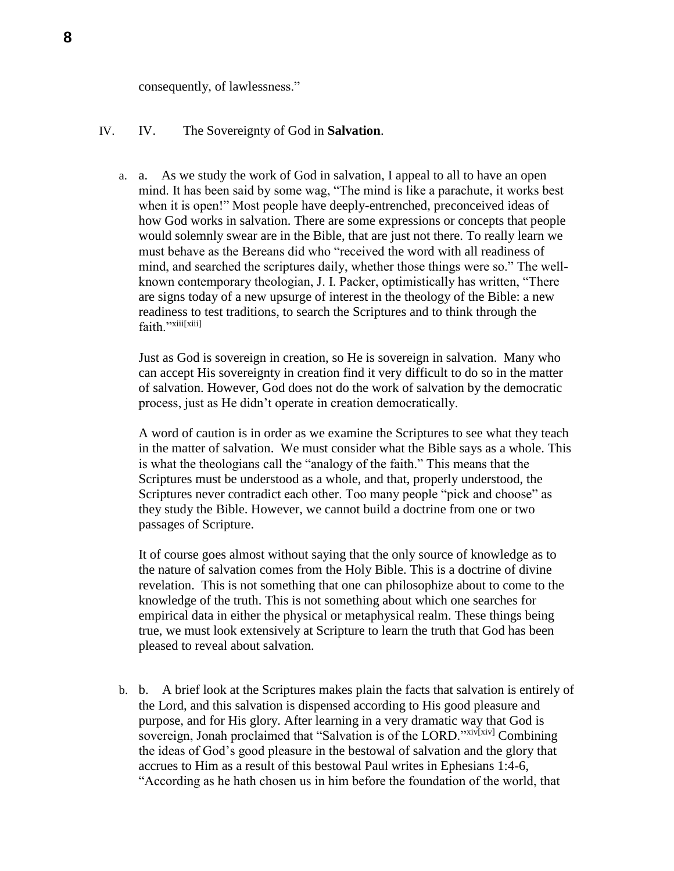consequently, of lawlessness."

## IV. IV. The Sovereignty of God in **Salvation**.

a. a. As we study the work of God in salvation, I appeal to all to have an open mind. It has been said by some wag, "The mind is like a parachute, it works best when it is open!" Most people have deeply-entrenched, preconceived ideas of how God works in salvation. There are some expressions or concepts that people would solemnly swear are in the Bible, that are just not there. To really learn we must behave as the Bereans did who "received the word with all readiness of mind, and searched the scriptures daily, whether those things were so." The wellknown contemporary theologian, J. I. Packer, optimistically has written, "There are signs today of a new upsurge of interest in the theology of the Bible: a new readiness to test traditions, to search the Scriptures and to think through the faith."xiii[xiii]

Just as God is sovereign in creation, so He is sovereign in salvation. Many who can accept His sovereignty in creation find it very difficult to do so in the matter of salvation. However, God does not do the work of salvation by the democratic process, just as He didn't operate in creation democratically.

A word of caution is in order as we examine the Scriptures to see what they teach in the matter of salvation. We must consider what the Bible says as a whole. This is what the theologians call the "analogy of the faith." This means that the Scriptures must be understood as a whole, and that, properly understood, the Scriptures never contradict each other. Too many people "pick and choose" as they study the Bible. However, we cannot build a doctrine from one or two passages of Scripture.

It of course goes almost without saying that the only source of knowledge as to the nature of salvation comes from the Holy Bible. This is a doctrine of divine revelation. This is not something that one can philosophize about to come to the knowledge of the truth. This is not something about which one searches for empirical data in either the physical or metaphysical realm. These things being true, we must look extensively at Scripture to learn the truth that God has been pleased to reveal about salvation.

b. b. A brief look at the Scriptures makes plain the facts that salvation is entirely of the Lord, and this salvation is dispensed according to His good pleasure and purpose, and for His glory. After learning in a very dramatic way that God is sovereign, Jonah proclaimed that "Salvation is of the LORD."xiv[xiv] Combining the ideas of God's good pleasure in the bestowal of salvation and the glory that accrues to Him as a result of this bestowal Paul writes in Ephesians 1:4-6, "According as he hath chosen us in him before the foundation of the world, that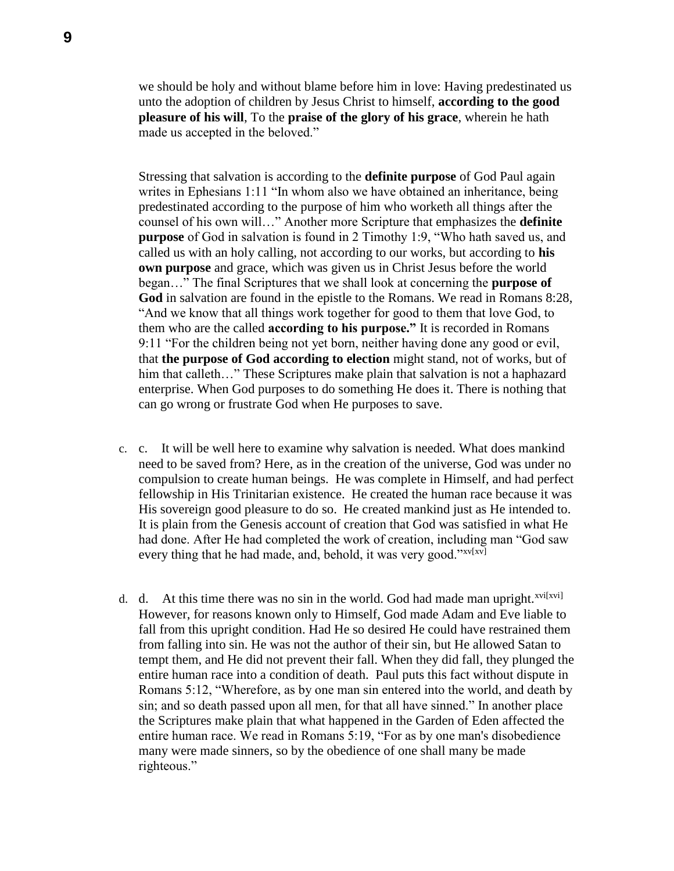we should be holy and without blame before him in love: Having predestinated us unto the adoption of children by Jesus Christ to himself, **according to the good pleasure of his will**, To the **praise of the glory of his grace**, wherein he hath made us accepted in the beloved."

Stressing that salvation is according to the **definite purpose** of God Paul again writes in Ephesians 1:11 "In whom also we have obtained an inheritance, being predestinated according to the purpose of him who worketh all things after the counsel of his own will…" Another more Scripture that emphasizes the **definite purpose** of God in salvation is found in 2 Timothy 1:9, "Who hath saved us, and called us with an holy calling, not according to our works, but according to **his own purpose** and grace, which was given us in Christ Jesus before the world began…" The final Scriptures that we shall look at concerning the **purpose of God** in salvation are found in the epistle to the Romans. We read in Romans 8:28, "And we know that all things work together for good to them that love God, to them who are the called **according to his purpose."** It is recorded in Romans 9:11 "For the children being not yet born, neither having done any good or evil, that **the purpose of God according to election** might stand, not of works, but of him that calleth..." These Scriptures make plain that salvation is not a haphazard enterprise. When God purposes to do something He does it. There is nothing that can go wrong or frustrate God when He purposes to save.

- c. c. It will be well here to examine why salvation is needed. What does mankind need to be saved from? Here, as in the creation of the universe, God was under no compulsion to create human beings. He was complete in Himself, and had perfect fellowship in His Trinitarian existence. He created the human race because it was His sovereign good pleasure to do so. He created mankind just as He intended to. It is plain from the Genesis account of creation that God was satisfied in what He had done. After He had completed the work of creation, including man "God saw every thing that he had made, and, behold, it was very good." $xv[xv]$
- d. d. At this time there was no sin in the world. God had made man upright. $x^{vif[xv]}$ However, for reasons known only to Himself, God made Adam and Eve liable to fall from this upright condition. Had He so desired He could have restrained them from falling into sin. He was not the author of their sin, but He allowed Satan to tempt them, and He did not prevent their fall. When they did fall, they plunged the entire human race into a condition of death. Paul puts this fact without dispute in Romans 5:12, "Wherefore, as by one man sin entered into the world, and death by sin; and so death passed upon all men, for that all have sinned." In another place the Scriptures make plain that what happened in the Garden of Eden affected the entire human race. We read in Romans 5:19, "For as by one man's disobedience many were made sinners, so by the obedience of one shall many be made righteous."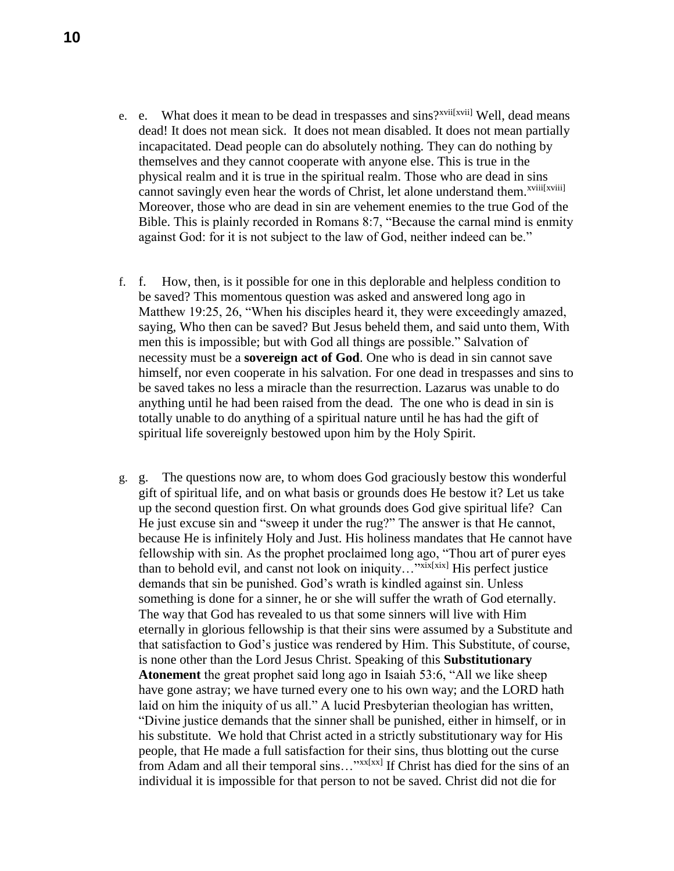- e. e. What does it mean to be dead in trespasses and sins?<sup>xvii[xvii]</sup> Well, dead means dead! It does not mean sick. It does not mean disabled. It does not mean partially incapacitated. Dead people can do absolutely nothing. They can do nothing by themselves and they cannot cooperate with anyone else. This is true in the physical realm and it is true in the spiritual realm. Those who are dead in sins cannot savingly even hear the words of Christ, let alone understand them.<sup>xviii[xviii]</sup> Moreover, those who are dead in sin are vehement enemies to the true God of the Bible. This is plainly recorded in Romans 8:7, "Because the carnal mind is enmity against God: for it is not subject to the law of God, neither indeed can be."
- f. f. How, then, is it possible for one in this deplorable and helpless condition to be saved? This momentous question was asked and answered long ago in Matthew 19:25, 26, "When his disciples heard it, they were exceedingly amazed, saying, Who then can be saved? But Jesus beheld them, and said unto them, With men this is impossible; but with God all things are possible." Salvation of necessity must be a **sovereign act of God**. One who is dead in sin cannot save himself, nor even cooperate in his salvation. For one dead in trespasses and sins to be saved takes no less a miracle than the resurrection. Lazarus was unable to do anything until he had been raised from the dead. The one who is dead in sin is totally unable to do anything of a spiritual nature until he has had the gift of spiritual life sovereignly bestowed upon him by the Holy Spirit.
- g. g. The questions now are, to whom does God graciously bestow this wonderful gift of spiritual life, and on what basis or grounds does He bestow it? Let us take up the second question first. On what grounds does God give spiritual life? Can He just excuse sin and "sweep it under the rug?" The answer is that He cannot, because He is infinitely Holy and Just. His holiness mandates that He cannot have fellowship with sin. As the prophet proclaimed long ago, "Thou art of purer eyes than to behold evil, and canst not look on iniquity..."xxx[xix] His perfect justice demands that sin be punished. God's wrath is kindled against sin. Unless something is done for a sinner, he or she will suffer the wrath of God eternally. The way that God has revealed to us that some sinners will live with Him eternally in glorious fellowship is that their sins were assumed by a Substitute and that satisfaction to God's justice was rendered by Him. This Substitute, of course, is none other than the Lord Jesus Christ. Speaking of this **Substitutionary Atonement** the great prophet said long ago in Isaiah 53:6, "All we like sheep have gone astray; we have turned every one to his own way; and the LORD hath laid on him the iniquity of us all." A lucid Presbyterian theologian has written, "Divine justice demands that the sinner shall be punished, either in himself, or in his substitute. We hold that Christ acted in a strictly substitutionary way for His people, that He made a full satisfaction for their sins, thus blotting out the curse from Adam and all their temporal sins..."xx[xx] If Christ has died for the sins of an individual it is impossible for that person to not be saved. Christ did not die for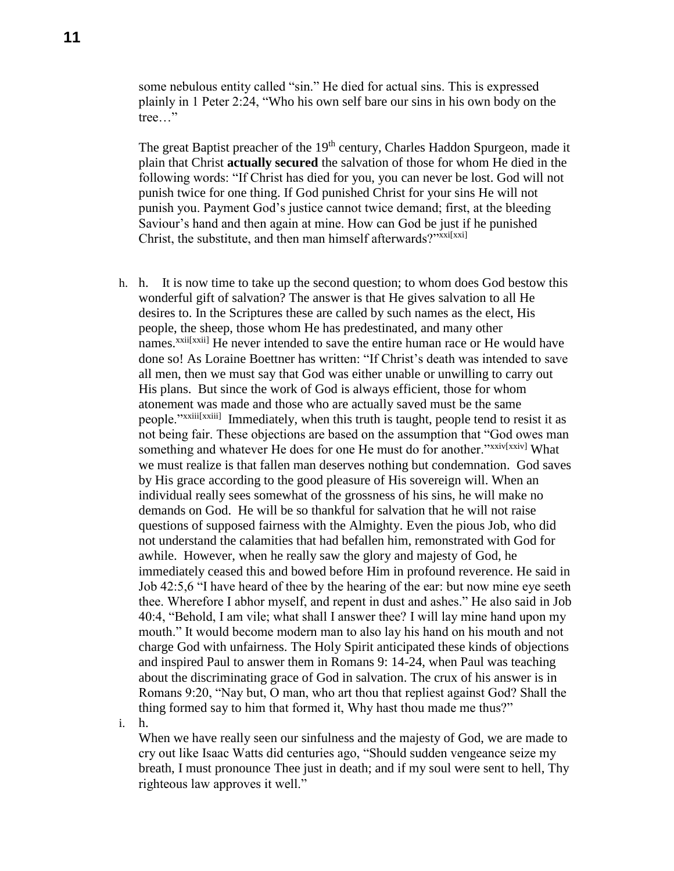some nebulous entity called "sin." He died for actual sins. This is expressed plainly in 1 Peter 2:24, "Who his own self bare our sins in his own body on the tree…"

The great Baptist preacher of the 19<sup>th</sup> century, Charles Haddon Spurgeon, made it plain that Christ **actually secured** the salvation of those for whom He died in the following words: "If Christ has died for you, you can never be lost. God will not punish twice for one thing. If God punished Christ for your sins He will not punish you. Payment God's justice cannot twice demand; first, at the bleeding Saviour's hand and then again at mine. How can God be just if he punished Christ, the substitute, and then man himself afterwards?" $x$ xxi $[x^{x}]$ 

h. h. It is now time to take up the second question; to whom does God bestow this wonderful gift of salvation? The answer is that He gives salvation to all He desires to. In the Scriptures these are called by such names as the elect, His people, the sheep, those whom He has predestinated, and many other names.<sup>xxii[xxii]</sup> He never intended to save the entire human race or He would have done so! As Loraine Boettner has written: "If Christ's death was intended to save all men, then we must say that God was either unable or unwilling to carry out His plans. But since the work of God is always efficient, those for whom atonement was made and those who are actually saved must be the same people."<sup>xxiii[xxiii]</sup> Immediately, when this truth is taught, people tend to resist it as not being fair. These objections are based on the assumption that "God owes man something and whatever He does for one He must do for another."xxiv[xxiv] What we must realize is that fallen man deserves nothing but condemnation. God saves by His grace according to the good pleasure of His sovereign will. When an individual really sees somewhat of the grossness of his sins, he will make no demands on God. He will be so thankful for salvation that he will not raise questions of supposed fairness with the Almighty. Even the pious Job, who did not understand the calamities that had befallen him, remonstrated with God for awhile. However, when he really saw the glory and majesty of God, he immediately ceased this and bowed before Him in profound reverence. He said in Job 42:5,6 "I have heard of thee by the hearing of the ear: but now mine eye seeth thee. Wherefore I abhor myself, and repent in dust and ashes." He also said in Job 40:4, "Behold, I am vile; what shall I answer thee? I will lay mine hand upon my mouth." It would become modern man to also lay his hand on his mouth and not charge God with unfairness. The Holy Spirit anticipated these kinds of objections and inspired Paul to answer them in Romans 9: 14-24, when Paul was teaching about the discriminating grace of God in salvation. The crux of his answer is in Romans 9:20, "Nay but, O man, who art thou that repliest against God? Shall the thing formed say to him that formed it, Why hast thou made me thus?"

i. h.

When we have really seen our sinfulness and the majesty of God, we are made to cry out like Isaac Watts did centuries ago, "Should sudden vengeance seize my breath, I must pronounce Thee just in death; and if my soul were sent to hell, Thy righteous law approves it well."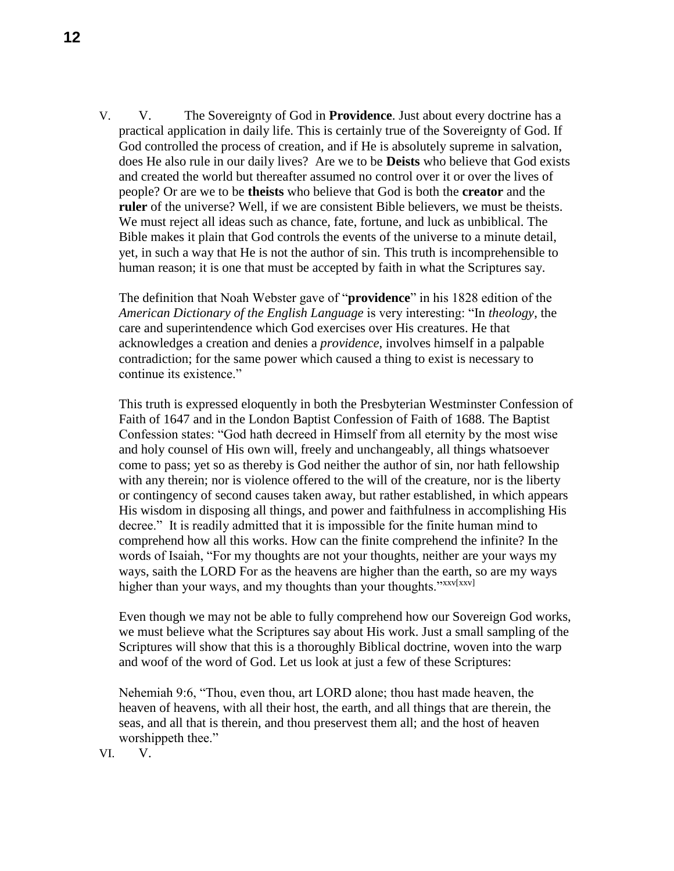V. V. The Sovereignty of God in **Providence**. Just about every doctrine has a practical application in daily life. This is certainly true of the Sovereignty of God. If God controlled the process of creation, and if He is absolutely supreme in salvation, does He also rule in our daily lives? Are we to be **Deists** who believe that God exists and created the world but thereafter assumed no control over it or over the lives of people? Or are we to be **theists** who believe that God is both the **creator** and the **ruler** of the universe? Well, if we are consistent Bible believers, we must be theists. We must reject all ideas such as chance, fate, fortune, and luck as unbiblical. The Bible makes it plain that God controls the events of the universe to a minute detail, yet, in such a way that He is not the author of sin. This truth is incomprehensible to human reason; it is one that must be accepted by faith in what the Scriptures say.

The definition that Noah Webster gave of "**providence**" in his 1828 edition of the *American Dictionary of the English Language* is very interesting: "In *theology*, the care and superintendence which God exercises over His creatures. He that acknowledges a creation and denies a *providence*, involves himself in a palpable contradiction; for the same power which caused a thing to exist is necessary to continue its existence."

This truth is expressed eloquently in both the Presbyterian Westminster Confession of Faith of 1647 and in the London Baptist Confession of Faith of 1688. The Baptist Confession states: "God hath decreed in Himself from all eternity by the most wise and holy counsel of His own will, freely and unchangeably, all things whatsoever come to pass; yet so as thereby is God neither the author of sin, nor hath fellowship with any therein; nor is violence offered to the will of the creature, nor is the liberty or contingency of second causes taken away, but rather established, in which appears His wisdom in disposing all things, and power and faithfulness in accomplishing His decree." It is readily admitted that it is impossible for the finite human mind to comprehend how all this works. How can the finite comprehend the infinite? In the words of Isaiah, "For my thoughts are not your thoughts, neither are your ways my ways, saith the LORD For as the heavens are higher than the earth, so are my ways higher than your ways, and my thoughts than your thoughts."*xxv*[xxv]

Even though we may not be able to fully comprehend how our Sovereign God works, we must believe what the Scriptures say about His work. Just a small sampling of the Scriptures will show that this is a thoroughly Biblical doctrine, woven into the warp and woof of the word of God. Let us look at just a few of these Scriptures:

Nehemiah 9:6, "Thou, even thou, art LORD alone; thou hast made heaven, the heaven of heavens, with all their host, the earth, and all things that are therein, the seas, and all that is therein, and thou preservest them all; and the host of heaven worshippeth thee."

VI. V.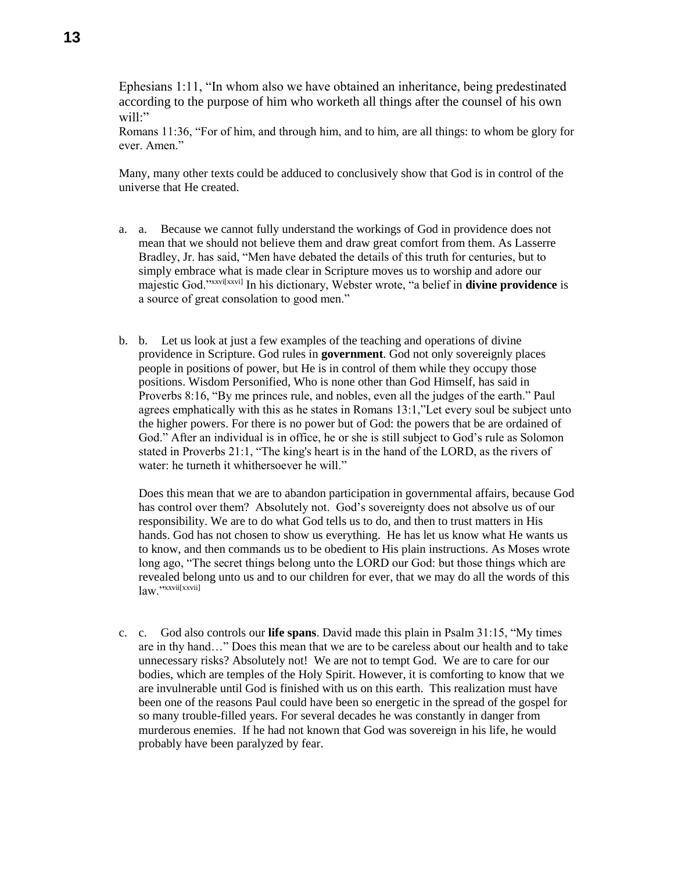Ephesians 1:11, "In whom also we have obtained an inheritance, being predestinated according to the purpose of him who worketh all things after the counsel of his own will:"

Romans 11:36, "For of him, and through him, and to him, are all things: to whom be glory for ever. Amen."

Many, many other texts could be adduced to conclusively show that God is in control of the universe that He created.

- a. a. Because we cannot fully understand the workings of God in providence does not mean that we should not believe them and draw great comfort from them. As Lasserre Bradley, Jr. has said, "Men have debated the details of this truth for centuries, but to simply embrace what is made clear in Scripture moves us to worship and adore our majestic God."xxvi[xxvi] In his dictionary, Webster wrote, "a belief in **divine providence** is a source of great consolation to good men."
- b. b. Let us look at just a few examples of the teaching and operations of divine providence in Scripture. God rules in **government**. God not only sovereignly places people in positions of power, but He is in control of them while they occupy those positions. Wisdom Personified, Who is none other than God Himself, has said in Proverbs 8:16, "By me princes rule, and nobles, even all the judges of the earth." Paul agrees emphatically with this as he states in Romans 13:1,"Let every soul be subject unto the higher powers. For there is no power but of God: the powers that be are ordained of God." After an individual is in office, he or she is still subject to God's rule as Solomon stated in Proverbs 21:1, "The king's heart is in the hand of the LORD, as the rivers of water: he turneth it whithersoever he will."

Does this mean that we are to abandon participation in governmental affairs, because God has control over them? Absolutely not. God's sovereignty does not absolve us of our responsibility. We are to do what God tells us to do, and then to trust matters in His hands. God has not chosen to show us everything. He has let us know what He wants us to know, and then commands us to be obedient to His plain instructions. As Moses wrote long ago, "The secret things belong unto the LORD our God: but those things which are revealed belong unto us and to our children for ever, that we may do all the words of this law<sup>"</sup>xxvii[xxvii]

c. c. God also controls our **life spans**. David made this plain in Psalm 31:15, "My times are in thy hand…" Does this mean that we are to be careless about our health and to take unnecessary risks? Absolutely not! We are not to tempt God. We are to care for our bodies, which are temples of the Holy Spirit. However, it is comforting to know that we are invulnerable until God is finished with us on this earth. This realization must have been one of the reasons Paul could have been so energetic in the spread of the gospel for so many trouble-filled years. For several decades he was constantly in danger from murderous enemies. If he had not known that God was sovereign in his life, he would probably have been paralyzed by fear.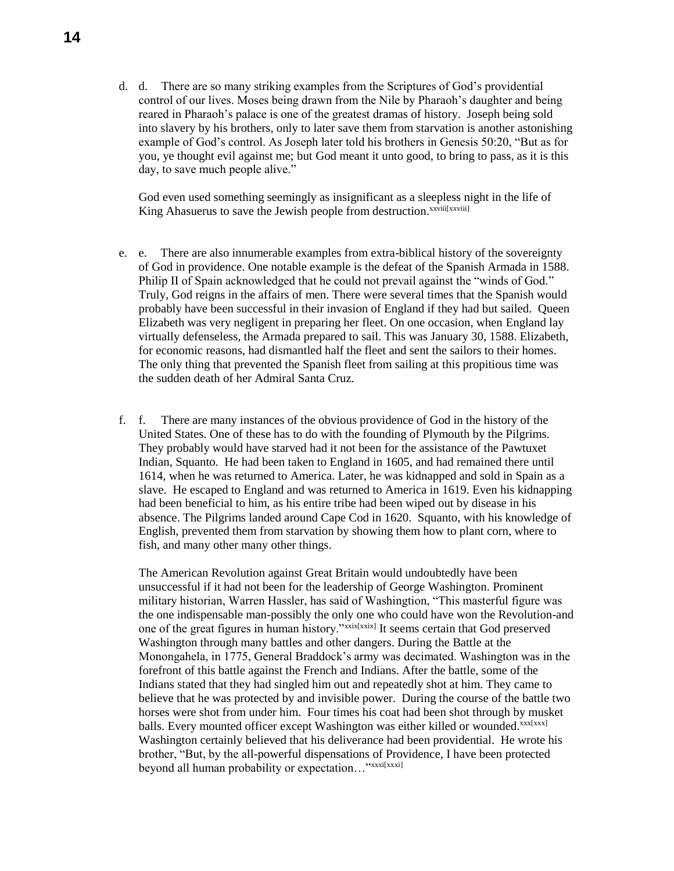d. d. There are so many striking examples from the Scriptures of God's providential control of our lives. Moses being drawn from the Nile by Pharaoh's daughter and being reared in Pharaoh's palace is one of the greatest dramas of history. Joseph being sold into slavery by his brothers, only to later save them from starvation is another astonishing example of God's control. As Joseph later told his brothers in Genesis 50:20, "But as for you, ye thought evil against me; but God meant it unto good, to bring to pass, as it is this day, to save much people alive."

God even used something seemingly as insignificant as a sleepless night in the life of King Ahasuerus to save the Jewish people from destruction.<sup>xxviii[xxviii]</sup>

- e. e. There are also innumerable examples from extra-biblical history of the sovereignty of God in providence. One notable example is the defeat of the Spanish Armada in 1588. Philip II of Spain acknowledged that he could not prevail against the "winds of God." Truly, God reigns in the affairs of men. There were several times that the Spanish would probably have been successful in their invasion of England if they had but sailed. Queen Elizabeth was very negligent in preparing her fleet. On one occasion, when England lay virtually defenseless, the Armada prepared to sail. This was January 30, 1588. Elizabeth, for economic reasons, had dismantled half the fleet and sent the sailors to their homes. The only thing that prevented the Spanish fleet from sailing at this propitious time was the sudden death of her Admiral Santa Cruz.
- f. f. There are many instances of the obvious providence of God in the history of the United States. One of these has to do with the founding of Plymouth by the Pilgrims. They probably would have starved had it not been for the assistance of the Pawtuxet Indian, Squanto. He had been taken to England in 1605, and had remained there until 1614, when he was returned to America. Later, he was kidnapped and sold in Spain as a slave. He escaped to England and was returned to America in 1619. Even his kidnapping had been beneficial to him, as his entire tribe had been wiped out by disease in his absence. The Pilgrims landed around Cape Cod in 1620. Squanto, with his knowledge of English, prevented them from starvation by showing them how to plant corn, where to fish, and many other many other things.

The American Revolution against Great Britain would undoubtedly have been unsuccessful if it had not been for the leadership of George Washington. Prominent military historian, Warren Hassler, has said of Washingtion, "This masterful figure was the one indispensable man-possibly the only one who could have won the Revolution-and one of the great figures in human history."xxix[xxix] It seems certain that God preserved Washington through many battles and other dangers. During the Battle at the Monongahela, in 1775, General Braddock's army was decimated. Washington was in the forefront of this battle against the French and Indians. After the battle, some of the Indians stated that they had singled him out and repeatedly shot at him. They came to believe that he was protected by and invisible power. During the course of the battle two horses were shot from under him. Four times his coat had been shot through by musket balls. Every mounted officer except Washington was either killed or wounded.<sup>xxx[xxx]</sup> Washington certainly believed that his deliverance had been providential. He wrote his brother, "But, by the all-powerful dispensations of Providence, I have been protected beyond all human probability or expectation..."xxxi[xxxi]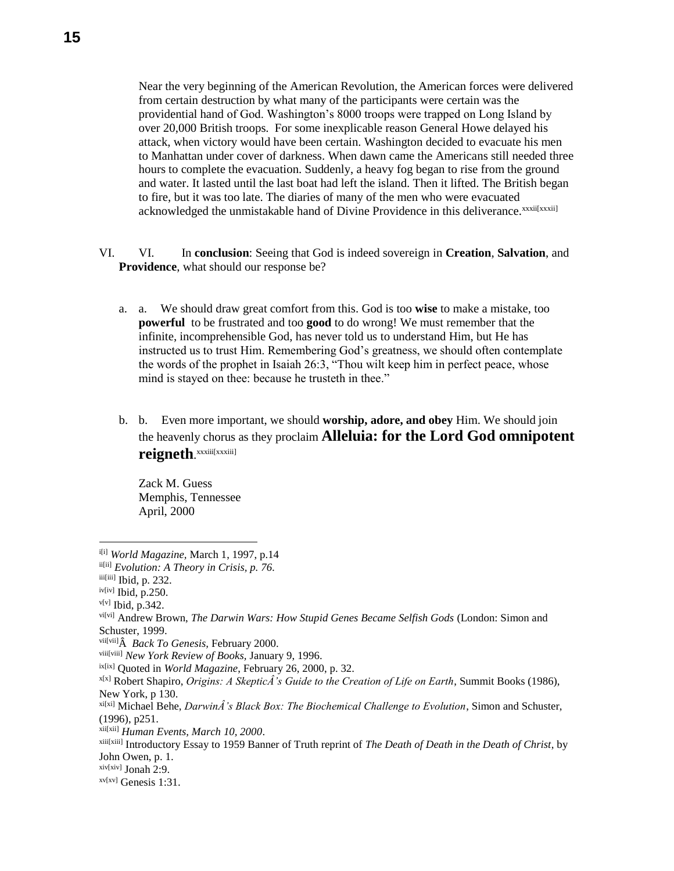Near the very beginning of the American Revolution, the American forces were delivered from certain destruction by what many of the participants were certain was the providential hand of God. Washington's 8000 troops were trapped on Long Island by over 20,000 British troops. For some inexplicable reason General Howe delayed his attack, when victory would have been certain. Washington decided to evacuate his men to Manhattan under cover of darkness. When dawn came the Americans still needed three hours to complete the evacuation. Suddenly, a heavy fog began to rise from the ground and water. It lasted until the last boat had left the island. Then it lifted. The British began to fire, but it was too late. The diaries of many of the men who were evacuated acknowledged the unmistakable hand of Divine Providence in this deliverance. *xxxii[xxxii]* 

- VI. VI. In **conclusion**: Seeing that God is indeed sovereign in **Creation**, **Salvation**, and **Providence**, what should our response be?
	- a. a. We should draw great comfort from this. God is too **wise** to make a mistake, too **powerful** to be frustrated and too **good** to do wrong! We must remember that the infinite, incomprehensible God, has never told us to understand Him, but He has instructed us to trust Him. Remembering God's greatness, we should often contemplate the words of the prophet in Isaiah 26:3, "Thou wilt keep him in perfect peace, whose mind is stayed on thee: because he trusteth in thee."
	- b. b. Even more important, we should **worship, adore, and obey** Him. We should join the heavenly chorus as they proclaim **Alleluia: for the Lord God omnipotent reigneth**. xxxiii[xxxiii]

Zack M. Guess Memphis, Tennessee April, 2000

 $\overline{a}$ 

<sup>&</sup>lt;sup>i[i]</sup> World Magazine, March 1, 1997, p.14

ii[ii] *Evolution: A Theory in Crisis, p. 76.*

iii[iii] Ibid, p. 232.

iv[iv] Ibid, p.250.

 $v[v]$  Ibid, p.342.

vi[vi] Andrew Brown, *The Darwin Wars: How Stupid Genes Became Selfish Gods* (London: Simon and Schuster, 1999.

vii[vii] *Back To Genesis,* February 2000.

viii[viii] *New York Review of Books,* January 9, 1996.

ix[ix] Quoted in *World Magazine*, February 26, 2000, p. 32.

x[x] Robert Shapiro, *Origins: A SkepticÂ's Guide to the Creation of Life on Earth*, Summit Books (1986), New York, p 130.

xi[xi] Michael Behe, *DarwinÂ's Black Box: The Biochemical Challenge to Evolution*, Simon and Schuster, (1996), p251.

xii[xii] *Human Events, March 10, 2000*.

xiii[xiii] Introductory Essay to 1959 Banner of Truth reprint of *The Death of Death in the Death of Christ*, by John Owen, p. 1.

 $xiv[xiv]$  Jonah 2:9.

 $xv[xv]$  Genesis 1:31.